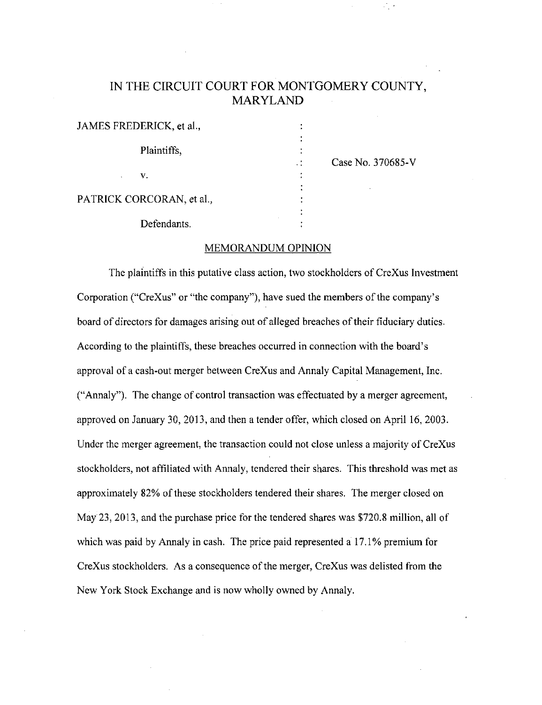# IN THE CIRCUIT COURT FOR MONTGOMERY COUNTY, MARYLAND

 $\mathbf{R}$ 

| JAMES FREDERICK, et al.,  |             |
|---------------------------|-------------|
|                           | Plaintiffs, |
| $\mathbf{v} = \mathbf{v}$ |             |
| PATRICK CORCORAN, et al., |             |

Defendants.

Case No. 370685-V

# MEMORANDUM OPINION

The plaintiffs in this putative class action, two stockholders of CreXus Investment Corporation ("CreXus" or "the company"), have sued the members of the company's board of directors for damages arising out of alleged breaches of their fiduciary duties. According to the plaintiffs, these breaches occurred in connection with the board's approval of a cash-out merger between CreXus and Annaly Capital Management, Inc. ("Annaly"). The change of control transaction was effectuated by a merger agreement, approved on January 30, 2013, and then a tender offer, which closed on April 16, 2003. Under the merger agreement, the transaction could not close unless a majority of CreXus stockholders, not affiliated with Annaly, tendered their shares. This threshold was met as approximately 82% of these stockholders tendered their shares. The merger closed on May 23, 2013, and the purchase price for the tendered shares was \$720.8 million, all of which was paid by Annaly in cash. The price paid represented a 17.1% premium for CreXus stockholders. As a consequence of the merger, CreXus was delisted from the New York Stock Exchange and is now wholly owned by Annaly.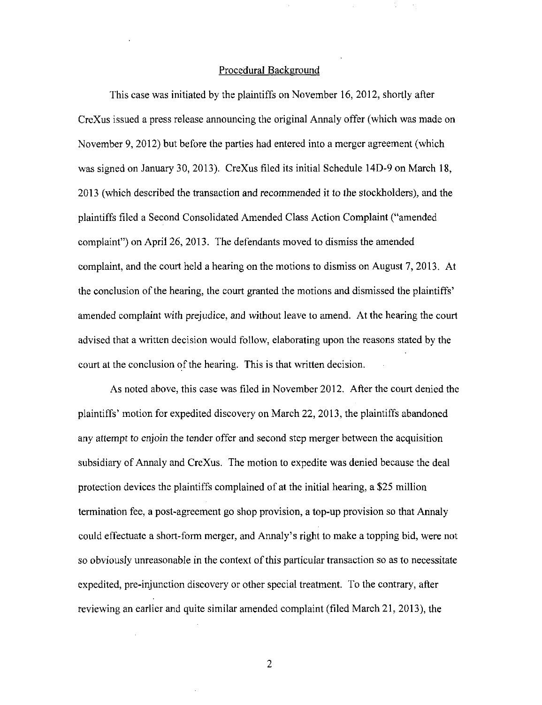#### Procedural Background

This case was initiated by the plaintiffs on November 16, 2012, shortly after CreXus issued a press release announcing the original Annaly offer (which was made on November 9, 2012) but before the parties had entered into a merger agreement (which was signed on January 30, 2013). CreXus filed its initial Schedule 14D-9 on March 18, 2013 (which described the transaction and recommended it to the stockholders), and the plaintiffs filed a Second Consolidated Amended Class Action Complaint ("amended complaint") on April 26, 2013. The defendants moved to dismiss the amended complaint, and the court held a hearing on the motions to dismiss on August 7, 2013. At the conclusion of the hearing, the court granted the motions and dismissed the plaintiffs' amended complaint with prejudice, and without leave to amend. At the hearing the court advised that a written decision would follow, elaborating upon the reasons stated by the court at the conclusion of the hearing. This is that written decision.

As noted above, this case was filed in November 2012. After the court denied the plaintiffs' motion for expedited discovery on March 22, 2013, the plaintiffs abandoned any attempt to enjoin the tender offer and second step merger between the acquisition subsidiary of Annaly and CreXus. The motion to expedite was denied because the deal protection devices the plaintiffs complained of at the initial hearing, a \$25 million termination fee, a post-agreement go shop provision, a top-up provision so that Annaly could effectuate a short-form merger, and Annaly's right to make a topping bid, were not so obviously unreasonable in the context of this particular transaction so as to necessitate expedited, pre-injunction discovery or other special treatment. To the contrary, after reviewing an earlier and quite similar amended complaint (filed March 21, 2013), the

 $\overline{2}$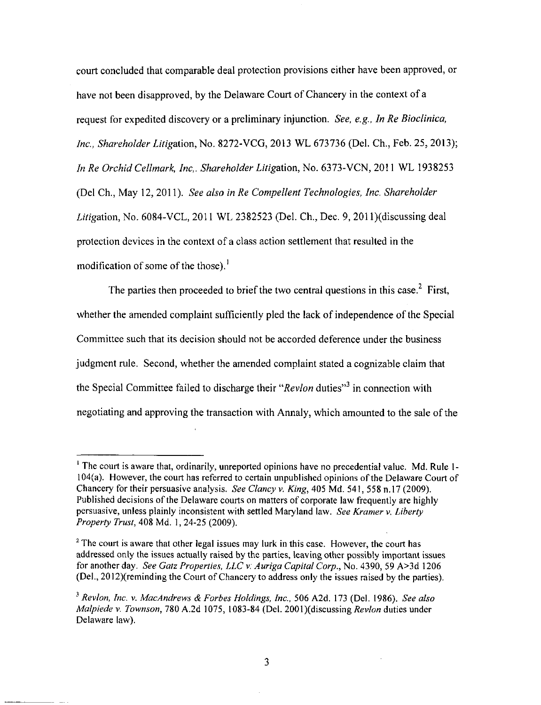court concluded that comparable deal protection provisions either have been approved, or have not been disapproved, by the Delaware Court of Chancery in the context of a request for expedited discovery or a preliminary injunction. See, e.g., In Re Bioclinica, Inc., Shareholder Litigation, No. 8272-VCG, 2013 WL 673736 (Del. Ch., Feb. 25, 2013); In Re Orchid Cellmark, Inc. Shareholder Litigation, No. 6373-VCN, 2011 WL 1938253 (Del Ch., May 12, 2011). See also in Re Compellent Technologies, Inc. Shareholder  $Litigation$ , No. 6084-VCL, 2011 WL 2382523 (Del. Ch., Dec. 9, 2011)(discussing deal protection devices in the context of a class action settlement that resulted in the modification of some of the those).<sup>1</sup>

The parties then proceeded to brief the two central questions in this case.<sup>2</sup> First, whether the amended complaint sufficiently pled the lack of independence of the Special Committee such that its decision should not be accorded deference under the business judgment rule. Second, whether the amended complaint stated a cognizable claim that the Special Committee failed to discharge their " $Re$ *vlon* duties"<sup>3</sup> in connection with negotiating and approving the transaction with Annaly, which amounted to the sale of the

<sup>&#</sup>x27; The court is aware that, ordinarily, unreported opinions have no precedential value. Md. Rule 1- 104(a). However, the court has referred to certain unpublished opinions ofthe Delaware Court of Chancery for their persuasive analysis. See Clancy v. King, 405 Md. 541, 558 n.17 (2009). Published decisions of the Delaware courts on matters of corporate law frequently are highly persuasive, unless plainly inconsistent with settled Maryland law. See Kramer v. Liberty Property Trust, 408 Md. 1, 24-25 (2009).

 $2$  The court is aware that other legal issues may lurk in this case. However, the court has addressed only the issues actually raised by the parties, leaving other possibly important issues for another day. See Gatz Properties, LLC v: Auriga Capital Corp., No. 4390, 59 A>3d 1206 (Del., 2012)(reminding the Court of Chancery to address only the issues raised by the parties).

 $3$  Revlon, Inc. v. MacAndrews & Forbes Holdings, Inc., 506 A2d. 173 (Del. 1986). See also Malpiede v. Townson, 780 A.2d 1075, 1083-84 (Del. 2001)(discussing Revlon duties under Delaware law).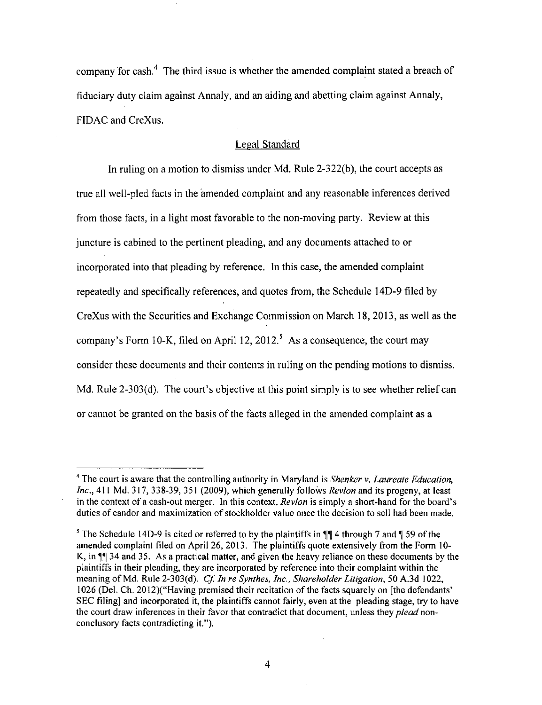company for cash.<sup>4</sup> The third issue is whether the amended complaint stated a breach of fiduciary duty claim against Annaly, and an aiding and abetting claim against Annaly, FIDAC and CreXus.

### Legal Standard

In ruling on a motion to dismiss under Md. Rule 2-322(b), the court accepts as true all well-pled facts in the amended complaint and any reasonable inferences derived from those facts, in a light most favorable to the non-moving party. Review at this juncture is cabined to the pertinent pleading, and any documents attached to or incorporated into that pleading by reference. In this case, the amended complaint repeatedly and specifically references, and quotes from, the Schedule 14D-9 filed by CreXus with the Securities and Exchange Commission on March 18, 2013, as well as the company's Form 10-K, filed on April 12, 2012.<sup>5</sup> As a consequence, the court may consider these documents and their contents in ruling on the pending motions to dismiss. Md. Rule 2-303(d). The court's objective at this point simply is to see whether relief can or cannot be granted on the basis of the facts alleged in the amended complaint as a

 $<sup>4</sup>$  The court is aware that the controlling authority in Maryland is *Shenker v. Laureate Education*,</sup>  $Inc., 411$  Md. 317, 338-39, 351 (2009), which generally follows *Revlon* and its progeny, at least in the context of a cash-out merger. In this context, Revlon is simply a short-hand for the board's duties of candor and maximization of stockholder value once the decision to sell had been made.

<sup>&</sup>lt;sup>5</sup> The Schedule 14D-9 is cited or referred to by the plaintiffs in  $\P$  4 through 7 and  $\P$  59 of the amended complaint filed on April 26, 2013. The plaintiffs quote extensively from the Form 10- K, in  $\P$  34 and 35. As a practical matter, and given the heavy reliance on these documents by the plaintiffs in their pleading, they are incorporated by reference into their complaint within the meaning of Md. Rule 2-303(d). Cf. In re Synthes, Inc., Shareholder Litigation, 50 A.3d 1022, 1026 (Del. Ch. 2012)("Having premised their recitation of the facts squarely on [the defendants' SEC filing] and incorporated it, the plaintiffs cannot fairly, even at the pleading stage, try to have the court draw inferences in their favor that contradict that document, unless they plead nonconclusory facts contradicting it.").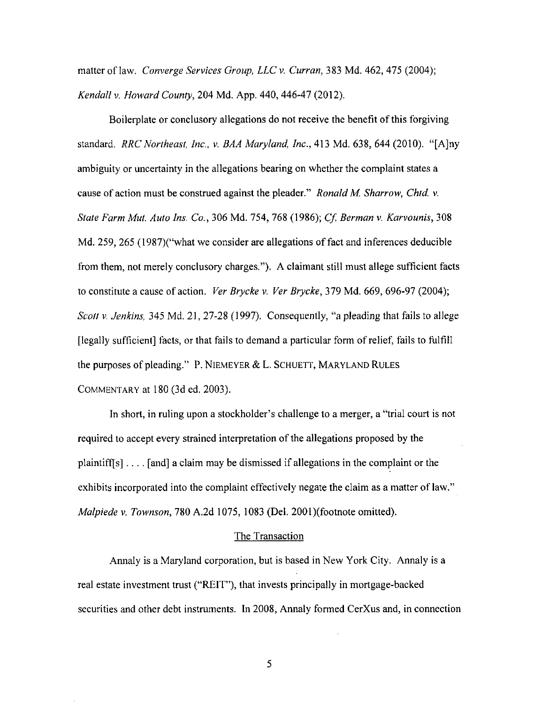matter of law. Converge Services Group, LLC v. Curran, 383 Md. 462, 475 (2004); Kendall v. Howard County, 204 Md. App. 440, 446-47 (2012).

Boilerplate or conclusory allegations do not receive the benefit of this forgiving standard. RRC Northeast, Inc., v. BAA Maryland, Inc., 413 Md. 638, 644 (2010). "[A]ny ambiguity or uncertainty in the allegations bearing on whether the complaint states a cause of action must be construed against the pleader." Ronald M. Sharrow, Chtd. v. State Farm Mut. Auto Ins. Co., 306 Md. 754, 768 (1986); Cf. Berman v. Karvounis, 308 Md. 259, 265 (1987)("what we consider are allegations of fact and inferences deducible from them, not merely conclusory charges."). A claimant still must allege sufficient facts to constitute a cause of action. *Ver Brycke v. Ver Brycke*,  $379$  Md.  $669$ ,  $696-97$  (2004); Scott v. Jenkins, 345 Md. 21, 27-28 (1997). Consequently, "a pleading that fails to allege [legally sufficient] facts, or that fails to demand a particular form of relief, fails to fulfill the purposes of pleading." P. NIEMEYER & L. SCHUETT, MARYLAND RULES COMMENTARY at 180 (3d ed. 2003).

In short, in ruling upon a stockholder's challenge to a merger, a "trial court is not required to accept every strained interpretation of the allegations proposed by the plaintiff[s]  $\dots$  [and] a claim may be dismissed if allegations in the complaint or the exhibits incorporated into the complaint effectively negate the claim as a matter of law." Malpiede v. Townson, 780 A.2d 1075, 1083 (Del. 2001)(footnote omitted).

#### The Transaction

Armaly is a Maryland corporation, but is based in New York City. Annaly is a real estate investment trust ("REIT"), that invests principally in mortgage-backed securities and other debt instruments. In 2008, Annaly formed CerXus and, in connection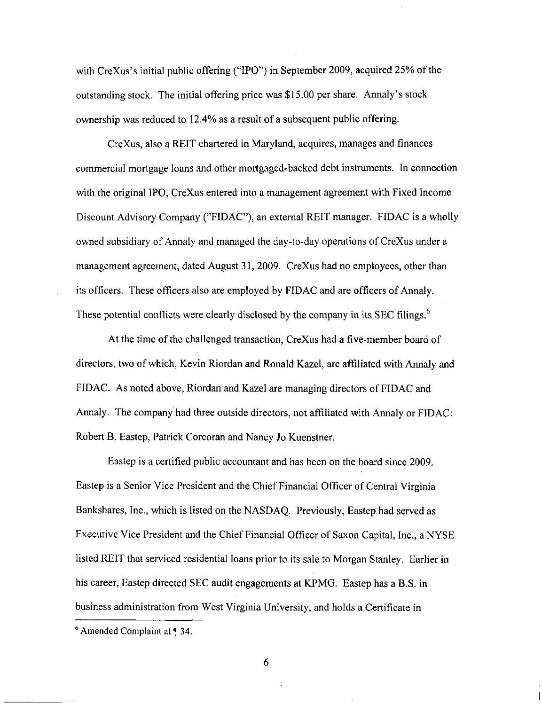with CreXus's initial public offering ("IPO") in September 2009, acquired 25% of the outstanding stock. The initial offering price was \$15.00 per share. Annaly's stock ownership was reduced to 12.4% as a result of a subsequent public offering.

CreXus, also a REIT chartered in Maryland, acquires, manages and finances commercial mortgage loans and other mortgaged-backed debt instruments. In connection with the original IPO, CreXus entered into a management agreement with Fixed Income Discount Advisory Company ("FIDAC"), an external REIT manager. FIDAC is a wholly owned subsidiary of Annaly and managed the day-to-day operations of CreXus under a management agreement, dated August 31, 2009. CreXus had no employees, other than its officers. These officers also are employed by FIDAC and are officers of Annaly. These potential conflicts were clearly disclosed by the company in its SEC filings.<sup>6</sup>

At the time of the challenged transaction, CreXus had a five-member board of directors, two of which, Kevin Riordan and Ronald Kazel, are affiliated with Annaly and FIDAC. As noted above, Riordan and Kazel are managing directors of FIDAC and Annaly. The company had three outside directors, not affiliated with Annaly or FIDAC: Robert B. Eastep, Patrick Corcoran and Nancy Jo Kuenstner.

Eastep is a certified public accountant and has been on the board since 2009. Eastep is a Senior Vice President and the Chief Financial Officer of Central Virginia Bankshares, Inc., which is listed on the NASDAQ. Previously, Eastep had served as Executive Vice President and the Chief Financial Officer of Saxon Capital, Inc., a NYSE listed REIT that serviced residential loans prior to its sale to Morgan Stanley. Earlier in his career, Eastep directed SEC audit engagements at KPMG. Eastep has a B.S. in business administration from West Virginia University, and holds a Certificate in

 $6$  Amended Complaint at  $\P$  34.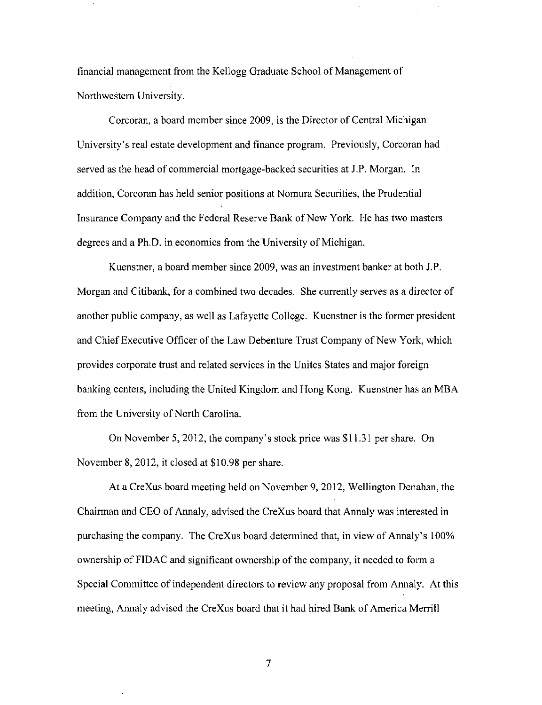financial management from the Kellogg Graduate School of Management of Northwestern University.

Corcoran, a board member since 2009, is the Director of Central Michigan University's real estate development and finance program. Previously, Corcoran had served as the head of commercial mortgage-backed securities at J.P. Morgan. In addition, Corcoran has held senior positions at Nomura Securities, the Prudential Insurance Company and the Federal Reserve Bank of New York. He has two masters degrees and a Ph.D. in economics from the University of Michigan.

Kuenstner, a board member since 2009, was an investment banker at both J.P. Morgan and Citibank, for a combined two decades. She currently serves as a director of another public company, as well as Lafayette College. Kuenstner is the former president and Chief Executive Officer of the Law Debenture Trust Company of New York, which provides corporate trust and related services in the Unites States and major foreign banking centers, including the United Kingdom and Hong Kong. Kuenstner has an MBA from the University of North Carolina.

On November 5, 2012, the company's stock price was \$11.31 per share. On November 8, 2012, it closed at \$10.98 per share.

At a CreXus board meeting held on November 9, 2012, Wellington Denahan, the Chairman and CEO of Annaly, advised the CreXus board that Annaly was interested in purchasing the company. The CreXus board determined that, in view of Annaly's 100% ownership of FIDAC and significant ownership of the company, it needed to form a Special Committee of independent directors to review any proposal from Annaly. At this meeting, Annaly advised the CreXus board that it had hired Bank of America Merrill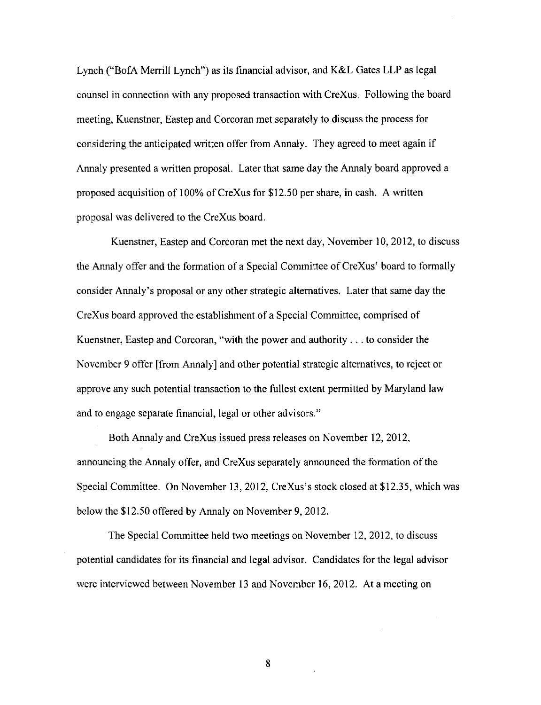Lynch ("BofA Merrill Lynch") as its financial advisor, and K&L Gates LLP as legal counsel in connection with any proposed transaction with CreXus. Following the board meeting, Kuenstner, Eastep and Corcoran met separately to discuss the process for considering the anticipated written offer from Annaly. They agreed to meet again if Annaly presented a written proposal. Later that same day the Annaly board approved a proposed acquisition of 100% of CreXus for \$12.50 per share, in cash. A written proposal was delivered to the CreXus board.

Kuenstner, Eastep and Corcoran met the next day, November 10, 2012, to discuss the Annaly offer and the formation of a Special Committee of CreXus' board to formally consider Annaly's proposal or any other strategic alternatives. Later that same day the CreXus board approved the establishment ofa Special Committee, comprised of Kuenstner, Eastep and Corcoran, "with the power and authority .. . to consider the November 9 offer [from Annaly] and other potential strategic alternatives, to reject or approve any such potential transaction to the fullest extent permitted by Maryland law and to engage separate financial, legal or other advisors."

Both Annaly and CreXus issued press releases on November 12, 2012, announcing the Annaly offer, and CreXus separately announced the formation of the Special Committee. On November 13, 2012, CreXus's stock closed at \$12.35, which was below the \$12.50 offered by Annaly on November 9, 2012.

The Special Committee held two meetings on November 12, 2012, to discuss potential candidates for its financial and legal advisor. Candidates for the legal advisor were interviewed between November 13 and November 16, 2012. At a meeting on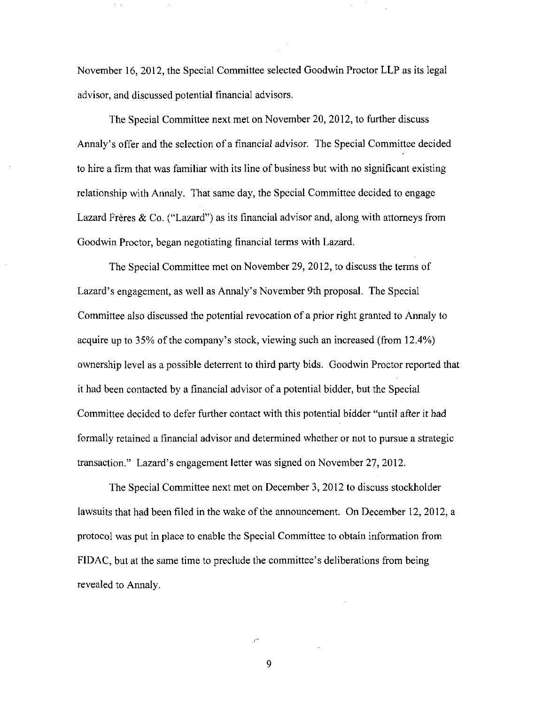November 16, 2012, the Special Committee selected Goodwin Proctor LLP as its legal advisor, and discussed potential financial advisors.

The Special Committee next met on November 20, 2012, to further discuss Annaly's offer and the selection of a financial advisor. The Special Committee decided to hire a firm that was familiar with its line of business but with no significant existing relationship with Annaly. That same day, the Special Committee decided to engage Lazard Frères & Co. ("Lazard") as its financial advisor and, along with attorneys from Goodwin Proctor, began negotiating financial terms with Lazard.

The Special Committee met on November 29, 2012, to discuss the terms of Lazard's engagement, as well as Annaly's November 9th proposal. The Special Committee also discussed the potential revocation of a prior right granted to Annaly to acquire up to 35% of the company's stock, viewing such an increased (from 12.4%) ownership level as a possible deterrent to third party bids. Goodwin Proctor reported that it had been contacted by a financial advisor of a potential bidder, but the Special Committee decided to defer further contact with this potential bidder \*'until after it had formally retained a financial advisor and determined whether or not to pursue a strategic transaction." Lazard's engagement letter was signed on November 27, 2012.

The Special Committee next met on December 3, 2012 to discuss stockholder lawsuits that had been filed in the wake of the announcement. On December 12, 2012, a protocol was put in place to enable the Special Committee to obtain information from FIDAC, but at the same time to preclude the committee's deliberations from being revealed to Annaly.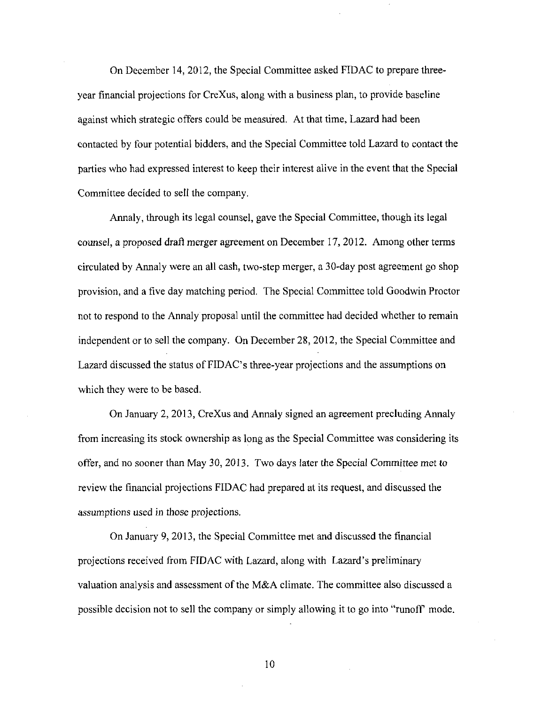On December 14, 2012, the Special Committee asked FIDAC to prepare threeyear financial projections for CreXus, along with a business plan, to provide baseline against which strategic offers could be measured. At that time, Lazard had been contacted by four potential bidders, and the Special Committee told Lazard to contact the parties who had expressed interest to keep their interest alive in the event that the Special Committee decided to sell the company.

Annaly, through its legal counsel, gave the Special Committee, though its legal counsel, a proposed draft merger agreement on December 17, 2012. Among other terms circulated by Annaly were an all cash, two-step merger, a 30-day post agreement go shop provision, and a five day matching period. The Special Committee told Goodwin Proctor not to respond to the Annaly proposal until the committee had decided whether to remain independent or to sell the company. On December 28, 2012, the Special Committee and Lazard discussed the status of FIDAC's three-year projections and the assumptions on which they were to be based.

On January 2, 2013, CreXus and Annaly signed an agreement precluding Annaly from increasing its stock ownership as long as the Special Committee was considering its offer, and no sooner than May 30, 2013. Two days later the Special Committee met to review the financial projections FIDAC had prepared at its request, and discussed the assumptions used in those projections.

On January 9, 2013, the Special Committee met and discussed the financial projections received from FIDAC with Lazard, along with Lazard's preliminary valuation analysis and assessment of the M&A climate. The committee also discussed a possible decision not to sell the company or simply allowing it to go into "runoff mode.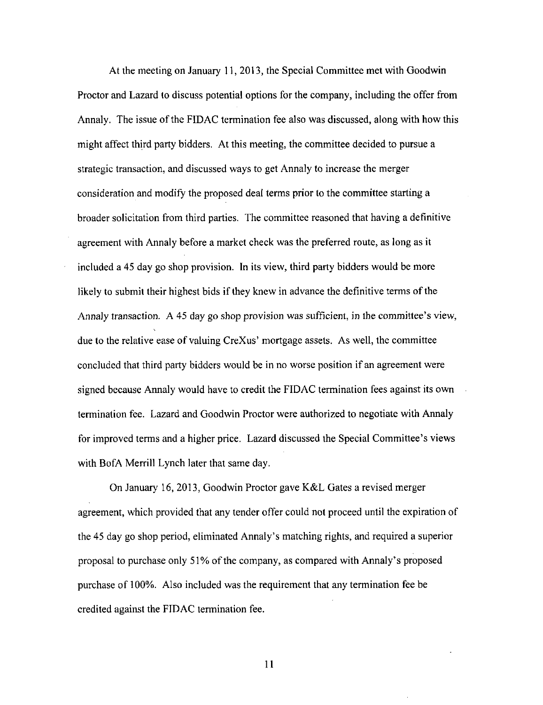At the meeting on January 11, 2013, the Special Committee met with Goodwin Proctor and Lazard to discuss potential options for the company, including the offer from Annaly. The issue of the FIDAC termination fee also was discussed, along with how this might affect third party bidders. At this meeting, the committee decided to pursue a strategic transaction, and discussed ways to get Annaly to increase the merger consideration and modify the proposed deal terms prior to the committee starting a broader solicitation from third parties. The committee reasoned that having a definitive agreement with Annaly before a market check was the preferred route, as long as it included a 45 day go shop provision. In its view, third party bidders would be more likely to submit their highest bids if they knew in advance the definitive terms of the Annaly transaction. A 45 day go shop provision was sufficient, in the committee's view, due to the relative ease of valuing CreXus' mortgage assets. As well, the committee concluded that third party bidders would be in no worse position if an agreement were signed because Annaly would have to credit the FIDAC termination fees against its own termination fee. Lazard and Goodwin Proctor were authorized to negotiate with Annaly for improved terms and a higher price. Lazard discussed the Special Committee's views with BofA Merrill Lynch later that same day.

On January 16, 2013, Goodwin Proctor gave K&L Gates a revised merger agreement, which provided that any tender offer could not proceed until the expiration of the 45 day go shop period, eliminated Annaly's matching rights, and required a superior proposal to purchase only 51% of the company, as compared with Annaly's proposed purchase of 100%. Also included was the requirement that any termination fee be credited against the FIDAC termination fee.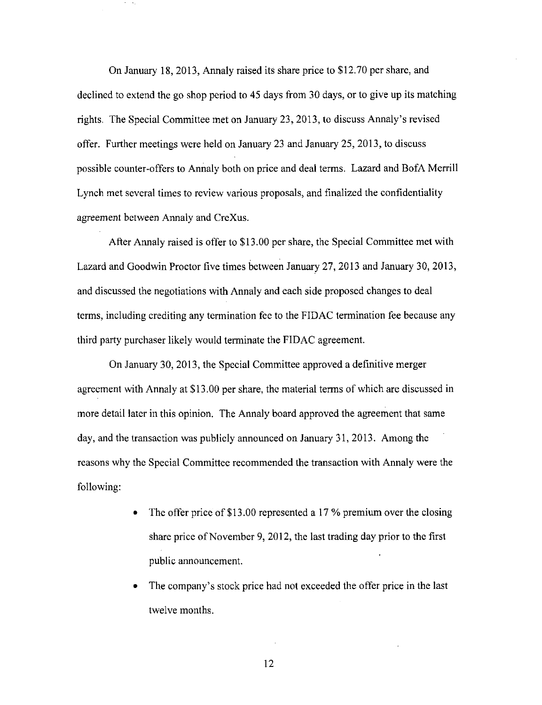On January 18, 2013, Annaly raised its share price to \$12.70 per share, and declined to extend the go shop period to 45 days from 30 days, or to give up its matching rights. The Special Committee met on January 23, 2013, to discuss Annaly's revised offer. Further meetings were held on January 23 and January 25, 2013, to discuss possible counter-offers to Annaly both on price and deal terms. Lazard and BofA Merrill Lynch met several times to review various proposals, and finalized the confidentiality agreement between Annaly and CreXus.

After Annaly raised is offer to \$13.00 per share, the Special Committee met with Lazard and Goodwin Proctor five times between January 27, 2013 and January 30, 2013, and discussed the negotiations with Annaly and each side proposed changes to deal terms, including crediting any termination fee to the FIDAC termination fee because any third party purchaser likely would terminate the FIDAC agreement.

On January 30, 2013, the Special Committee approved a definitive merger agreement with Annaly at \$13.00 per share, the material terms of which are discussed in more detail later in this opinion. The Annaly board approved the agreement that same day, and the transaction was publicly announced on January 31, 2013. Among the reasons why the Special Committee recommended the transaction with Annaly were the following:

- The offer price of \$13.00 represented a 17 % premium over the closing share price of November 9, 2012, the last trading day prior to the first public announcement.
- The company's stock price had not exceeded the offer price in the last twelve months.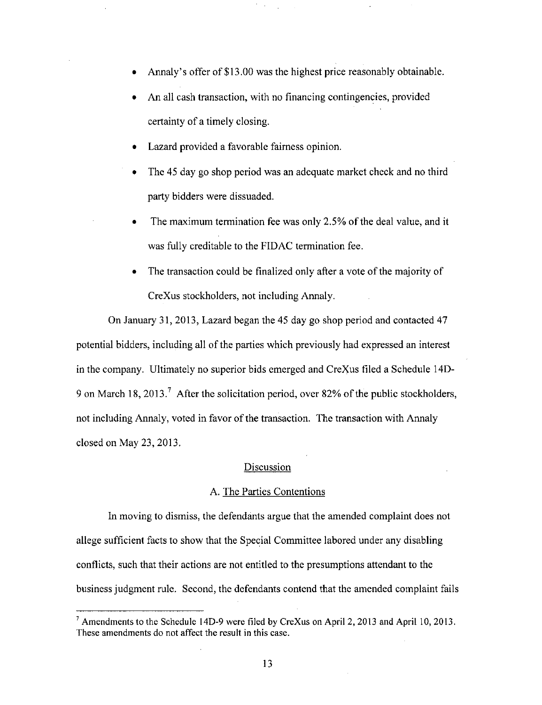- Annaly's offer of \$13.00 was the highest price reasonably obtainable.
- An all cash transaction, with no financing contingencies, provided certainty of a timely closing.
- Lazard provided a favorable fairness opinion.
- The 45 day go shop period was an adequate market check and no third party bidders were dissuaded.
- The maximum termination fee was only 2.5% of the deal value, and it was fully creditable to the FIDAC termination fee.
- The transaction could be finalized only after a vote of the majority of CreXus stockholders, not including Annaly.

On January 31, 2013, Lazard began the 45 day go shop period and contacted 47 potential bidders, including all of the parties which previously had expressed an interest in the company. Ultimately no superior bids emerged and CreXus filed a Schedule 14D-9 on March 18, 2013.<sup>7</sup> After the solicitation period, over 82% of the public stockholders, not including Annaly, voted in favor of the transaction. The transaction with Annaly closed on May 23, 2013.

### **Discussion**

### A. The Parties Contentions

In moving to dismiss, the defendants argue that the amended complaint does not allege sufficient facts to show that the Special Committee labored under any disabling conflicts, such that their actions are not entitled to the presumptions attendant to the business judgment rule. Second, the defendants contend that the amended complaint fails

<sup>&#</sup>x27; Amendments to the Schedule 14D-9 were filed by CreXus on April 2, 2013 and April 10, 2013. These amendments do not affect the result in this case.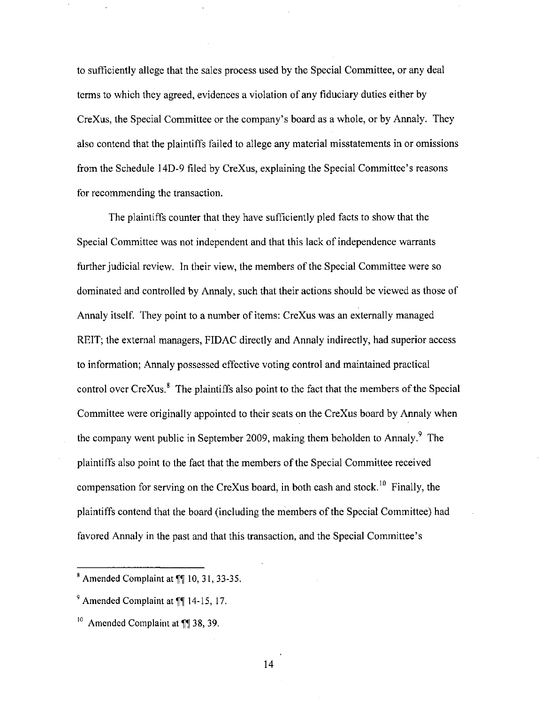to sufficiently allege that the sales process used by the Special Committee, or any deal terms to which they agreed, evidences a violation of any fiduciary duties either by CreXus, the Special Committee or the company's board as a whole, or by Annaly. They also contend that the plaintiffs failed to allege any material misstatements in or omissions from the Schedule 14D-9 filed by CreXus, explaining the Special Committee's reasons for recommending the transaction.

The plaintiffs counter that they have sufficiently pled facts to show that the Special Committee was not independent and that this lack of independence warrants further judicial review. In their view, the members of the Special Committee were so dominated and controlled by Annaly, such that their actions should be viewed as those of Annaly itself. They point to a number of items: CreXus was an externally managed REIT; the external managers, FIDAC directly and Annaly indirectly, had superior access to information; Annaly possessed effective voting control and maintained practical control over  $CreXus$ ,  $\delta$  The plaintiffs also point to the fact that the members of the Special Committee were originally appointed to their seats on the CreXus board by Annaly when the company went public in September 2009, making them beholden to Annaly.<sup>9</sup> The plaintiffs also point to the fact that the members of the Special Committee received compensation for serving on the CreXus board, in both cash and stock.<sup>10</sup> Finally, the plaintiffs contend that the board (including the members of the Special Committee) had favored Annaly in the past and that this transaction, and the Special Committee's

 $*$  Amended Complaint at  $\P$  10, 31, 33-35.

 $^9$  Amended Complaint at  $\P$  14-15, 17.

 $^{10}$  Amended Complaint at ¶¶ 38, 39.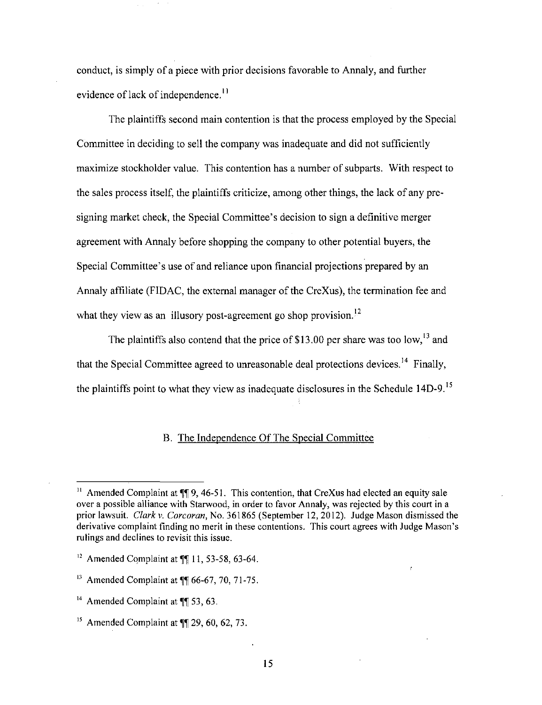conduct, is simply of a piece with prior decisions favorable to Annaly, and further evidence of lack of independence.<sup>11</sup>

The plaintiffs second main contention is that the process employed by the Special Committee in deciding to sell the company was inadequate and did not sufficiently maximize stockholder value. This contention has a number of subparts. With respect to the sales process itself, the plaintiffs criticize, among other things, the lack of any presigning market check, the Special Committee's decision to sign a definitive merger agreement with Annaly before shopping the company to other potential buyers, the Special Committee's use of and reliance upon financial projections prepared by an Annaly affiliate (FIDAC, the external manager of the CreXus), the termination fee and what they view as an illusory post-agreement go shop provision. $^{12}$ 

The plaintiffs also contend that the price of \$13.00 per share was too low,  $^{13}$  and that the Special Committee agreed to unreasonable deal protections devices.<sup>14</sup> Finally, the plaintiffs point to what they view as inadequate disclosures in the Schedule 14D-9.<sup>15</sup>

# B. The Independence Of The Special Committee

<sup>&</sup>lt;sup>11</sup> Amended Complaint at  $\P$  9, 46-51. This contention, that CreXus had elected an equity sale over a possible alliance with Starwood, in order to favor Annaly, was rejected by this court in a prior lawsuit. Clark v. Corcoran, No. 361865 (September 12, 2012). Judge Mason dismissed the derivative complaint finding no merit in these contentions. This court agrees with Judge Mason's rulings and declines to revisit this issue.

 $12$  Amended Complaint at  $\P\P$  11, 53-58, 63-64.

 $^{13}$  Amended Complaint at  $\P$  66-67, 70, 71-75.

 $^{14}$  Amended Complaint at  $\P$  53, 63.

 $^{15}$  Amended Complaint at  $\P$  29, 60, 62, 73.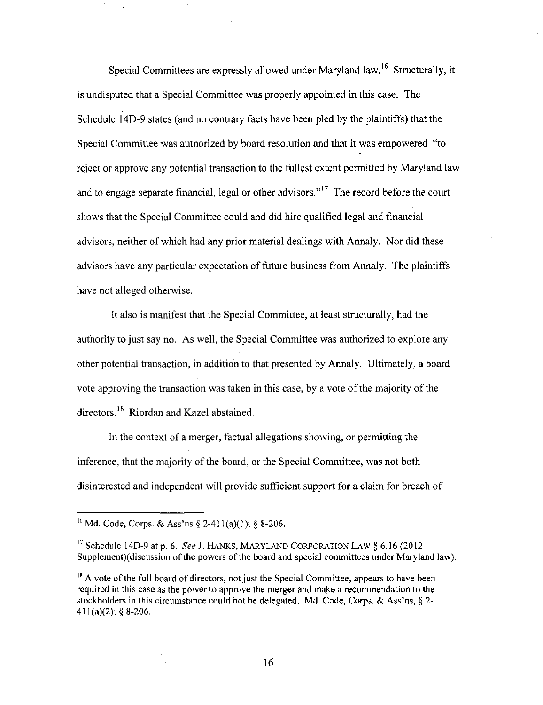Special Committees are expressly allowed under Maryland law.<sup>16</sup> Structurally, it is undisputed that a Special Committee was properly appointed in this case. The Schedule 14D-9 states (and no contrary facts have been pled by the plaintiffs) that the Special Committee was authorized by board resolution and that it was empowered "to reject or approve any potential transaction to the fullest extent permitted by Maryland law and to engage separate financial, legal or other advisors."<sup>17</sup> The record before the court shows that the Special Committee could and did hire qualified legal and financial advisors, neither of which had any prior material dealings with Annaly. Nor did these advisors have any particular expectation of future business from Annaly. The plaintiffs have not alleged otherwise.

It also is manifest that the Special Committee, at least structurally, had the authority to just say no. As well, the Special Committee was authorized to explore any other potential transaction, in addition to that presented by Annaly. Ultimately, a board vote approving the transaction was taken in this case, by a vote of the majority of the directors.<sup>18</sup> Riordan and Kazel abstained.

In the context of a merger, factual allegations showing, or permitting the inference, that the majority of the board, or the Special Committee, was not both disinterested and independent will provide sufficient support for a claim for breach of

<sup>&</sup>lt;sup>16</sup> Md. Code, Corps. & Ass'ns § 2-411(a)(1); § 8-206.

<sup>&</sup>lt;sup>17</sup> Schedule 14D-9 at p. 6. See J. HANKS, MARYLAND CORPORATION LAW  $\S 6.16$  (2012) Supplement)(discussion of the powers of the board and special committees under Maryland law).

 $<sup>18</sup>$  A vote of the full board of directors, not just the Special Committee, appears to have been</sup> required in this case as the power to approve the merger and make a recommendation to the stockholders in this circumstance could not be delegated. Md. Code, Corps. & Ass'ns, § 2-  $411(a)(2)$ ; § 8-206.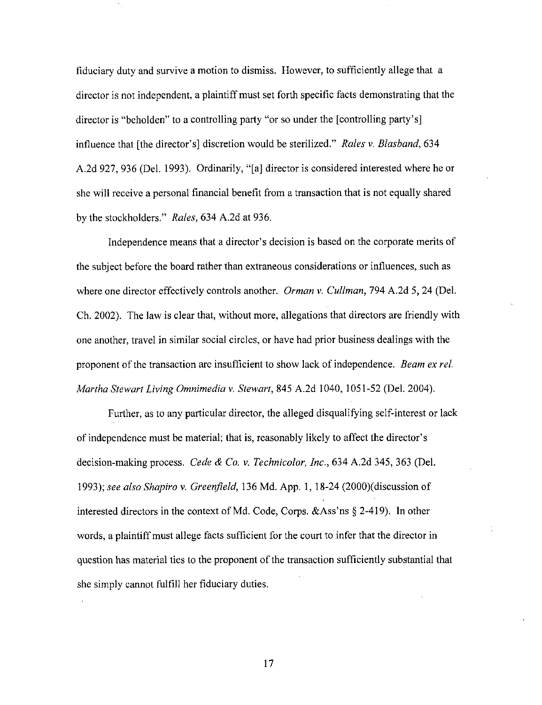fiduciary duty and survive a motion to dismiss. However, to sufficiently allege that a director is not independent, a plaintiff must set forth specific facts demonstrating that the director is "beholden" to a controlling party "or so under the [controlling party's] influence that [the director's] discretion would be sterilized." Rales v. Blasband, 634 A.2d 927, 936 (Del. 1993). Ordinarily, "[a] director is considered interested where he or she will receive a personal financial benefit from a transaction that is not equally shared by the stockholders." Rales, 634 A.2d at 936.

Independence means that a director's decision is based on the corporate merits of the subject before the board rather than extraneous considerations or influences, such as where one director effectively controls another. *Orman v. Cullman*, 794 A.2d 5, 24 (Del.) Ch. 2002). The law is clear that, without more, allegations that directors are friendly with one another, travel in similar social circles, or have had prior business dealings with the proponent of the transaction are insufficient to show lack of independence. Beam ex rel. Martha Stewart Living Omnimedia v, Stewart, 845 A.2d 1040, 1051-52 (Del. 2004).

Further, as to any particular director, the alleged disqualifying self-interest or lack of independence must be material; that is, reasonably likely to affect the director's decision-making process. Cede & Co. v. Technicolor, Inc., 634 A.2d 345, 363 (Del. 1993); see also Shapiro v. Greenfield, 136 Md. App. 1, 18-24 (2000)(discussion of interested directors in the context of Md. Code, Corps. &Ass'ns § 2-419). In other words, a plaintiff must allege facts sufficient for the court to infer that the director in question has material ties to the proponent of the transaction sufficiently substantial that she simply cannot fulfill her fiduciary duties.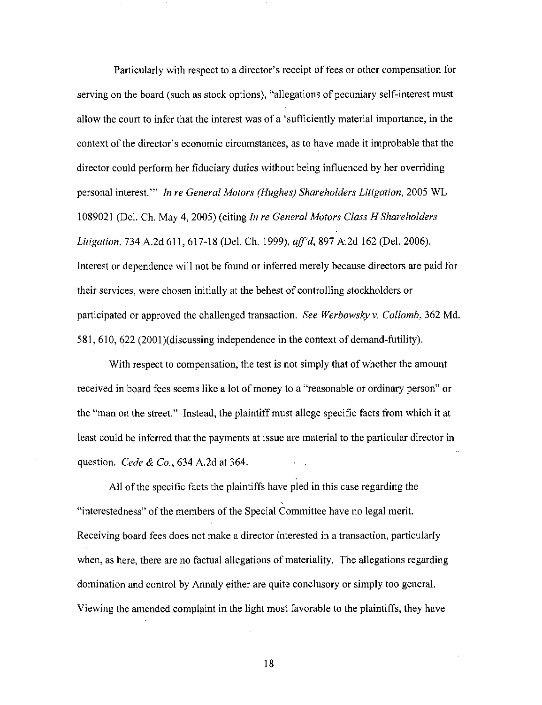Particularly with respect to a director's receipt of fees or other compensation for serving on the board (such as stock options), "allegations of pecuniary self-interest must allow the court to infer that the interest was of a 'sufficiently material importance, in the context of the director's economic circumstances, as to have made it improbable that the director could perform her fiduciary duties without being influenced by her overriding personal interest.'" In re General Motors (Hughes) Shareholders Litigation, 2005 WL 1089021 (Del. Ch. May 4, 2005) (citing In re General Motors Class H Shareholders Litigation, 734 A.2d 611, 617-18 (Del. Ch. 1999), aff'd, 897 A.2d 162 (Del. 2006). Interest or dependence will not be found or inferred merely because directors are paid for their services, were chosen initially at the behest of controlling stockholders or participated or approved the challenged transaction. See Werbowsky v. Collomb, 362 Md. 581, 610, 622 (2001)(discussing independence in the context of demand-futility).

With respect to compensation, the test is not simply that of whether the amount received in board fees seems like a lot of money to a "reasonable or ordinary person" or the "man on the street." Instead, the plaintiff must allege specific facts from which it at least could be inferred that the payments at issue are material to the particular director in question. *Cede & Co.*, 634 A.2d at 364.

All of the specific facts the plaintiffs have pled in this case regarding the "interestedness" of the members of the Special Committee have no legal merit. Receiving board fees does not make a director interested in a transaction, particularly when, as here, there are no factual allegations of materiality. The allegations regarding domination and control by Annaly either are quite conclusory or simply too general. Viewing the amended complaint in the light most favorable to the plaintiffs, they have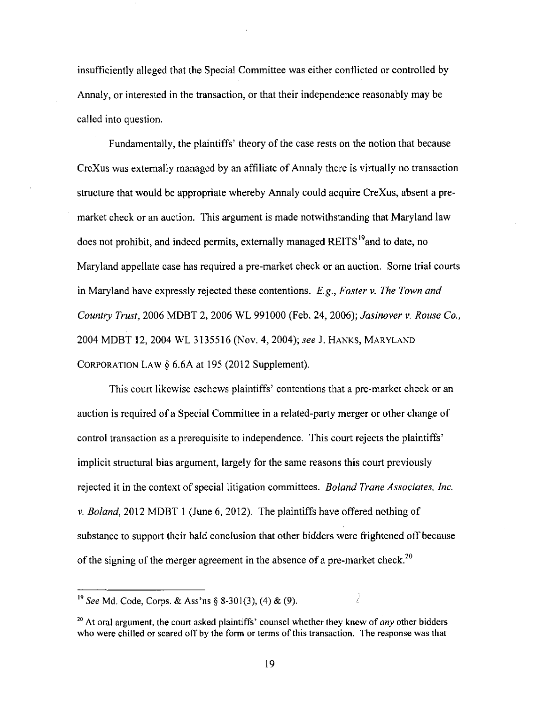insufficiently alleged that the Special Committee was either conflicted or controlled by Annaly, or interested in the transaction, or that their independence reasonably may be called into question.

Fundamentally, the plaintiffs' theory of the case rests on the notion that because CreXus was externally managed by an affiliate of Annaly there is virtually no transaction structure that would be appropriate whereby Annaly could acquire CreXus, absent a premarket check or an auction. This argument is made notwithstanding that Maryland law does not prohibit, and indeed permits, externally managed REITS<sup>19</sup>and to date, no Maryland appellate case has required a pre-market check or an auction. Some trial courts in Maryland have expressly rejected these contentions. E.g., Foster v. The Town and Country Trust, 2006 MDBT 2, 2006 WL 991000 (Feb. 24, 2006); Jasinover v. Rouse Co., 2004 MDBT 12, 2004 WL 3135516 (Nov. 4,2004); see J. HANKS, MARYLAND CORPORATION LAW § 6.6A at 195 (2012 Supplement).

This court likewise eschews plaintiffs' contentions that a pre-market check or an auction is required of a Special Committee in a related-party merger or other change of control transaction as a prerequisite to independence. This court rejects the plaintiffs' implicit structural bias argument, largely for the same reasons this court previously rejected it in the context of special litigation committees. *Boland Trane Associates, Inc.* V. Boland, 2012 MDBT 1 (June 6, 2012). The plaintiffs have offered nothing of substance to support their bald conclusion that other bidders were frightened off because of the signing of the merger agreement in the absence of a pre-market check.<sup>20</sup>

Ì

<sup>&</sup>lt;sup>19</sup> See Md, Code, Corps. & Ass'ns § 8-301(3), (4) & (9).

 $^{20}$  At oral argument, the court asked plaintiffs' counsel whether they knew of *any* other bidders who were chilled or scared off by the form or terms of this transaction. The response was that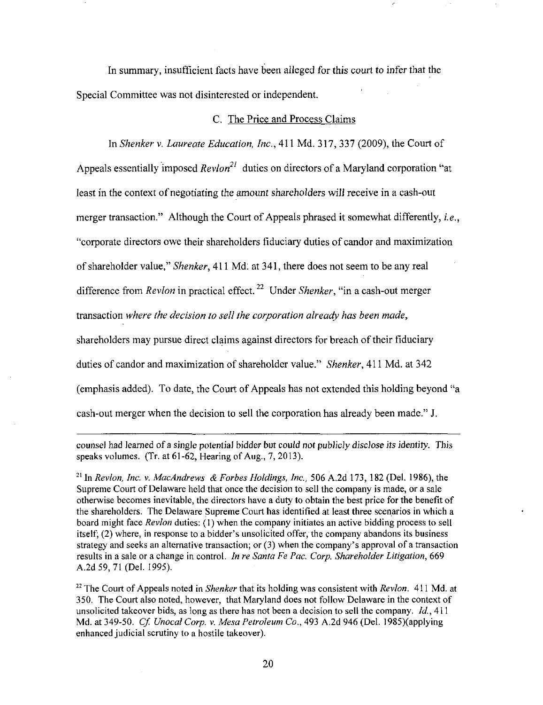In summary, insufficient facts have been alleged for this court to infer that the Special Committee was not disinterested or independent.

#### C. The Price and Process Claims

In Shenker v. Laureate Education, Inc., 411 Md. 317, 337 (2009), the Court of

Appeals essentially imposed  $Re v \cdot \frac{2l}{l}$  duties on directors of a Maryland corporation "at

least in the context of negotiating the amount shareholders will receive in a cash-out

merger transaction." Although the Court of Appeals phrased it somewhat differently, *i.e.*,

"corporate directors owe their shareholders fiduciary duties of candor and maximization

of shareholder value," Shenker, 411 Md. at 341, there does not seem to be any real

difference from Revlon in practical effect.<sup>22</sup> Under Shenker, "in a cash-out merger

transaction where the decision to sell the corporation already has been made,

shareholders may pursue direct claims against directors for breach of their fiduciary

duties of candor and maximization of shareholder value." Shenker, 411 Md. at 342

(emphasis added). To date, the Court of Appeals has not extended this holding beyond "a

cash-out merger when the decision to sell the corporation has already been made." J.

counsel had leamed of a single potential bidder but could not publicly disclose its identity. This speaks volumes. (Tr. at 61-62, Hearing of Aug., 7, 2013).

<sup>21</sup> In Revlon, Inc. v. MacAndrews & Forbes Holdings, Inc., 506 A.2d 173, 182 (Del. 1986), the Supreme Court of Delaware held that once the decision to sell the company is made, or a sale otherwise becomes inevitable, the directors have a duty to obtain the best price for the benefit of the shareholders. The Delaware Supreme Court has identified at least three scenarios in which a board might face Revlon duties: (1) when the company initiates an active bidding process to sell itself; (2) where, in response to a bidder's unsolicited offer, the company abandons its business strategy and seeks an alternative transaction; or  $(3)$  when the company's approval of a transaction results in a sale or a change in control. In re Santa Fe Pac. Corp. Shareholder Litigation, 669 A,2d59, 71 (Del. 1995).

 $22$  The Court of Appeals noted in Shenker that its holding was consistent with Revlon. 411 Md. at 350. The Court also noted, however, that Maryland does not follow Delaware in the context of unsolicited takeover bids, as long as there has not been a decision to sell the company.  $Id$ , 411 Md. at 349-50. Cf Unocal Corp. v. Mesa Petroleum Co., 493 A.2d 946 (Del. 1985)(applying enhanced judicial scrutiny to a hostile takeover).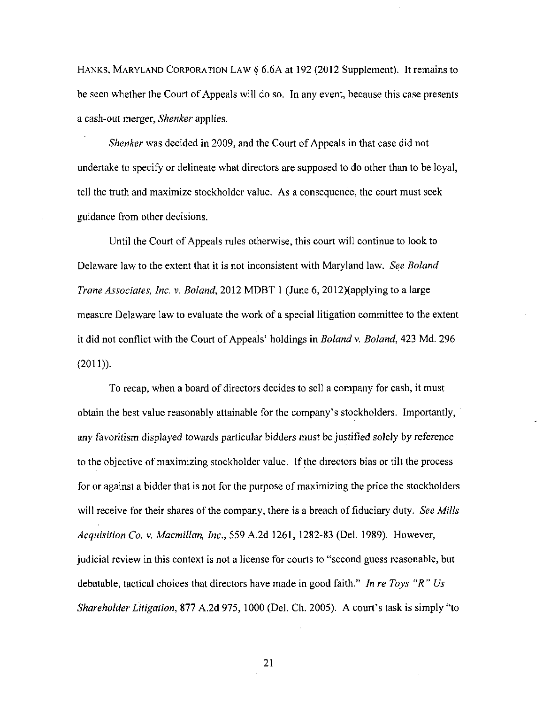HANKS, MARYLAND CORPORATION LAW § 6.6A at 192 (2012 Supplement). It remains to be seen whether the Court of Appeals will do so. In any event, because this case presents a cash-out merger, Shenker applies.

Shenker was decided in 2009, and the Court of Appeals in that case did not undertake to specify or delineate what directors are supposed to do other than to be loyal, tell the truth and maximize stockholder value. As a consequence, the court must seek guidance from other decisions.

Until the Court of Appeals rules otherwise, this court will continue to look to Delaware law to the extent that it is not inconsistent with Maryland law. See Boland Trane Associates, Inc. v. Boland, 2012 MDBT 1 (June 6, 2012)(applying to a large measure Delaware law to evaluate the work of a special litigation committee to the extent it did not conflict with the Court of Appeals' holdings in Boland v, Boland, 423 Md. 296 (2011)).

To recap, when a board of directors decides to sell a company for cash, it must obtain the best value reasonably attainable for the company's stockholders. Importantly, any favoritism displayed towards particular bidders must be justified solely by reference to the objective of maximizing stockholder value. If the directors bias or tilt the process for or against a bidder that is not for the purpose of maximizing the price the stockholders will receive for their shares of the company, there is a breach of fiduciary duty. See Mills Acquisition Co. v. Macmillan, Inc., 559 A.2d 1261, 1282-83 (Del. 1989). However, judicial review in this context is not a license for courts to "second guess reasonable, but debatable, tactical choices that directors have made in good faith." In re Toys "R" Us Shareholder Litigation, 877 A.2d 975, 1000 (Del. Ch. 2005). A court's task is simply "to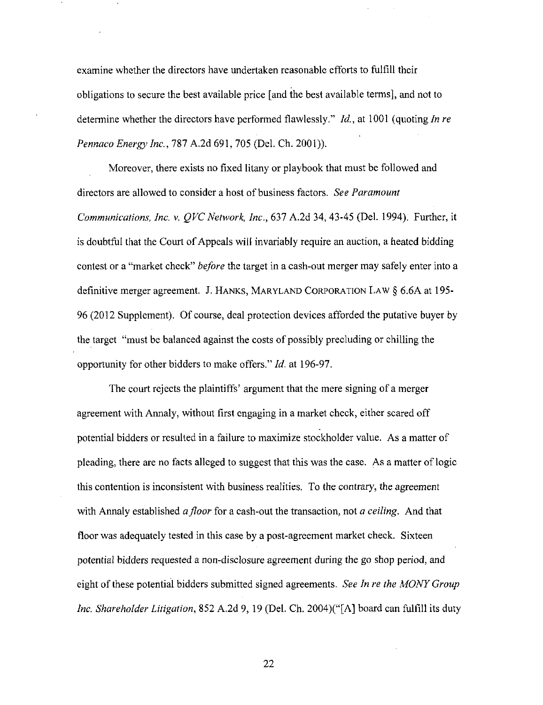examine whether the directors have undertaken reasonable efforts to fulfill their obligations to secure the best available price [and the best available terms], and not to determine whether the directors have performed flawlessly." *Id.*, at 1001 (quoting *In re* Pennaco Energy Inc., 787 A.2d 691, 705 (Del. Ch. 2001)).

Moreover, there exists no fixed litany or playbook that must be followed and directors are allowed to consider a host of business factors. See Paramount Communications, Inc. v. QVC Network, Inc., 637 A.2d 34, 43-45 (Del. 1994). Further, it is doubtful that the Court of Appeals will invariably require an auction, a heated bidding contest or a "market check" before the target in a cash-out merger may safely enter into a definitive merger agreement. J. HANKS, MARYLAND CORPORATION LAW § 6.6A at 195- 96 (2012 Supplement). Of course, deal protection devices afforded the putative buyer by the target "must be balanced against the costs of possibly precluding or chilling the opportunity for other bidders to make offers." Id. at 196-97.

The court rejects the plaintiffs' argument that the mere signing of a merger agreement with Annaly, without first engaging in a market check, either scared off potential bidders or resulted in a failure to maximize stockholder value. As a matter of pleading, there are no facts alleged to suggest that this was the case. As a matter of logic this contention is inconsistent with business realities. To the contrary, the agreement with Annaly established a floor for a cash-out the transaction, not a ceiling. And that floor was adequately tested in this case by a post-agreement market check. Sixteen potential bidders requested a non-disclosure agreement during the go shop period, and eight of these potential bidders submitted signed agreements. See In re the MONY Group Inc. Shareholder Litigation, 852 A.2d 9, 19 (Del. Ch. 2004)("[A] board can fulfill its duty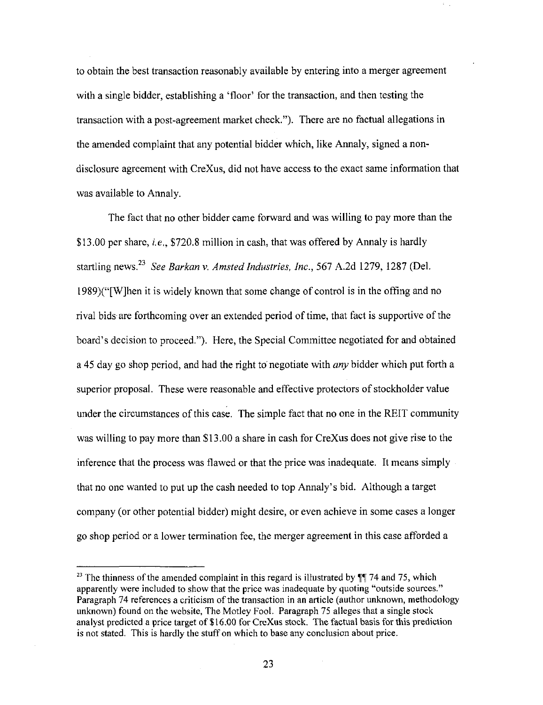to obtain the best transaction reasonably available by entering into a merger agreement with a single bidder, establishing a 'floor' for the transaction, and then testing the transaction with a post-agreement market check."). There are no factual allegations in the amended complaint that any potential bidder which, like Annaly, signed a nondisclosure agreement with CreXus, did not have access to the exact same information that was available to Annaly.

The fact that no other bidder came forward and was willing to pay more than the \$13.00 per share, *i.e.*, \$720.8 million in cash, that was offered by Annaly is hardly startling news. $^{23}$  See Barkan v. Amsted Industries, Inc., 567 A.2d 1279, 1287 (Del. 1989)("[W]hen it is widely known that some change of control is in the offing and no rival bids are forthcoming over an extended period of time, that fact is supportive of the board's decision to proceed."). Here, the Special Committee negotiated for and obtained a 45 day go shop period, and had the right to negotiate with *any* bidder which put forth a superior proposal. These were reasonable and effective protectors of stockholder value under the circumstances of this case. The simple fact that no one in the REIT community was willing to pay more than \$13.00 a share in cash for CreXus does not give rise to the inference that the process was flawed or that the price was inadequate. It means simply that no one wanted to put up the cash needed to top Annaly's bid. Although a target company (or other potential bidder) might desire, or even achieve in some cases a longer go shop period or a lower termination fee, the merger agreement in this case afforded a

<sup>&</sup>lt;sup>23</sup> The thinness of the amended complaint in this regard is illustrated by  $\P$  74 and 75, which apparently were included to show that the price was inadequate by quoting "outside sources." Paragraph 74 references a criticism of the transaction in an article (author unknown, methodology unknown) found on the website, The Motley Fool. Paragraph 75 alleges that a single stock analyst predicted a price target of \$16.00 for CreXus stock. The factual basis for this prediction is not stated. This is hardly the stuff on which to base any conclusion about price.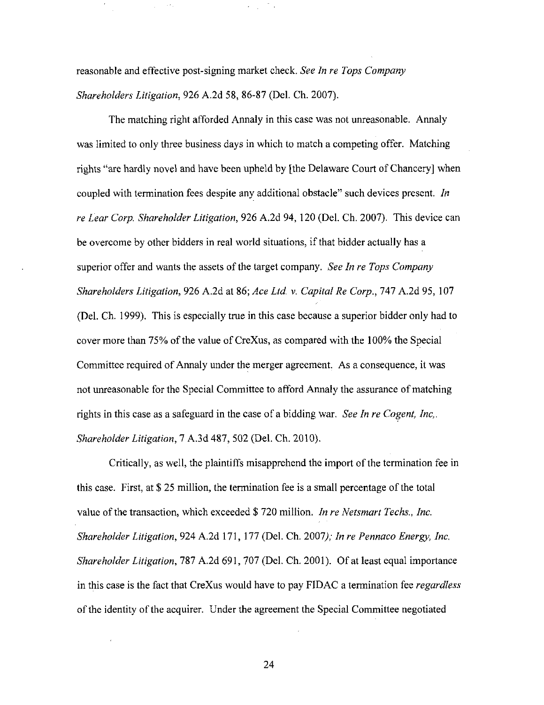reasonable and effective post-signing market check. See In re Tops Company Shareholders Litigation, 926 A.2d 58, 86-87 (Del. Ch. 2007).

The matching right afforded Annaly in this case was not unreasonable. Annaly was limited to only three business days in which to match a competing offer. Matching rights "are hardly novel and have been upheld by [the Delaware Court of Chancery] when coupled with termination fees despite any additional obstacle" such devices present. In re Lear Corp. Shareholder Litigation, 926 A.2d 94, 120 (Del. Ch. 2007). This device can be overcome by other bidders in real world situations, if that bidder actually has a superior offer and wants the assets of the target company. See In re Tops Company Shareholders Litigation, 926 A.2d at 86; Ace Ltd. v. Capital Re Corp., 747 A.2d 95, 107 (Del. Ch. 1999). This is especially true in this case because a superior bidder only had to cover more than 75% of the value of CreXus, as compared with the 100% the Special Committee required of Annaly under the merger agreement. As a consequence, it was not unreasonable for the Special Committee to afford Annaly the assurance of matching rights in this case as a safeguard in the case of a bidding war. See In re Cogent, Inc,. Shareholder Litigation, 1 A.3d 487, 502 (Del. Ch. 2010).

Critically, as well, the plaintiffs misapprehend the import of the termination fee in this case. First, at  $$ 25$  million, the termination fee is a small percentage of the total value of the transaction, which exceeded \$720 million. In re Netsmart Techs., Inc. Shareholder Litigation, 924 A.2d 171, 177 (Del. Ch. 2007); In re Pennaco Energy, Inc. Shareholder Litigation, 787 A.2d 691, 707 (Del. Ch. 2001). Of at least equal importance in this case is the fact that CreXus would have to pay FIDAC a termination fee *regardless* of the identity of the acquirer. Under the agreement the Special Committee negotiated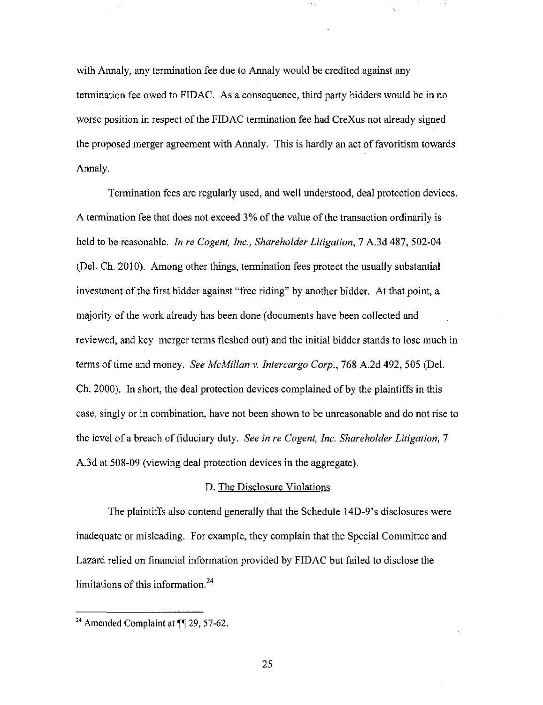with Annaly, any termination fee due to Annaly would be credited against any termination fee owed to FIDAC. As a consequence, third party bidders would be in no worse position in respect of the FIDAC termination fee had CreXus not already signed the proposed merger agreement with Annaly. This is hardly an act of favoritism towards Annaly.

Termination fees are regularly used, and well understood, deal protection devices. A termination fee that does not exceed  $3%$  of the value of the transaction ordinarily is held to be reasonable. In re Cogent, Inc., Shareholder Litigation, 7 A.3d 487, 502-04 (Del. Ch. 2010). Among other things, termination fees protect the usually substantial investment of the first bidder against "free riding" by another bidder. At that point, a majority of the work already has been done (documents have been collected and reviewed, and key merger terms fleshed out) and the initial bidder stands to lose much in terms of time and money. See McMillan v. Intercargo Corp., 768 A.2d 492, 505 (Del.) Ch. 2000). In short, the deal protection devices complained of by the plaintiffs in this case, singly or in combination, have not been shown to be unreasonable and do not rise to the level of a breach of fiduciary duty. See in re Cogent, Inc. Shareholder Litigation, 7 A.3d at 508-09 (viewing deal protection devices in the aggregate).

#### D. The Disclosure Violations

The plaintiffs also contend generally that the Schedule 14D-9's disclosures were inadequate or misleading. For example, they complain that the Special Committee and Lazard relied on financial information provided by FIDAC but failed to disclose the limitations of this information. $24$ 

<sup>&</sup>lt;sup>24</sup> Amended Complaint at  $\P$ <sup> $\uparrow$ </sup> 29, 57-62.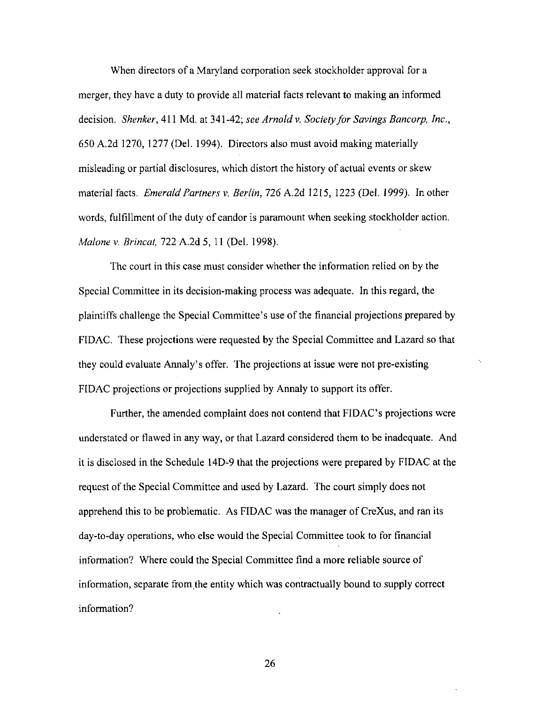When directors of a Maryland corporation seek stockholder approval for a merger, they have a duty to provide all material facts relevant to making an informed decision. Shenker, 411 Md. at 341-42; see Arnold v. Society for Savings Bancorp, Inc., 650 A.2d 1270, 1277 (Del. 1994). Directors also must avoid making materially misleading or partial disclosures, which distort the history of actual events or skew material facts. Emerald Partners v. Berlin, 726 A.2d 1215, 1223 (Del. 1999). In other words, fulfillment of the duty of candor is paramount when seeking stockholder action. Malone v. Brincat, 722 A.2d 5, 11 (Del. 1998).

The court in this case must consider whether the information relied on by the Special Committee in its decision-making process was adequate. In this regard, the plaintiffs challenge the Special Committee's use of the financial projections prepared by FIDAC. These projections were requested by the Special Committee and Lazard so that they could evaluate Annaly's offer. The projections at issue were not pre-existing FIDAC projections or projections supplied by Annaly to support its offer.

Further, the amended complaint does not contend that FIDAC's projections were understated or flawed in any way, or that Lazard considered them to be inadequate. And it is disclosed in the Schedule 14D-9 that the projections were prepared by FIDAC at the request of the Special Committee and used by Lazard. The court simply does not apprehend this to be problematic. As FIDAC was the manager of CreXus, and ran its day-to-day operations, who else would the Special Committee took to for financial information? Where could the Special Committee find a more reliable source of information, separate from the entity which was contractually bound to supply correct information?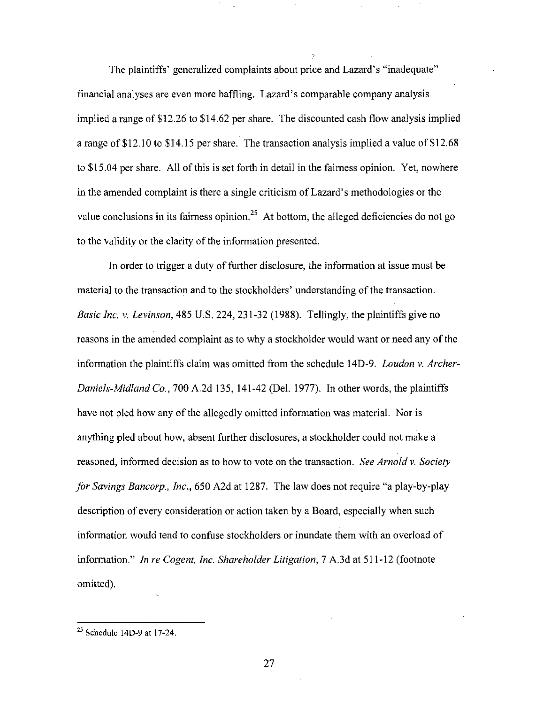The plaintiffs' generalized complaints about price and Lazard's "inadequate" financial analyses are even more baffling. Lazard's comparable company analysis implied a range of \$12.26 to \$14.62 per share. The discounted cash flow analysis implied a range of \$12.10 to \$14.15 per share. The transaction analysis implied a value of \$12.68 to \$15.04 per share. All of this is set forth in detail in the fairness opinion. Yet, nowhere in the amended complaint is there a single criticism of Lazard's methodologies or the value conclusions in its fairness opinion.<sup>25</sup> At bottom, the alleged deficiencies do not go to the validity or the clarity of the information presented.

In order to trigger a duty of further disclosure, the information at issue must be material to the transaction and to the stockholders' understanding of the transaction. *Basic Inc. v. Levinson*,  $485 \text{ U.S. } 224, 231-32$  (1988). Tellingly, the plaintiffs give no reasons in the amended complaint as to why a stockholder would want or need any of the information the plaintiffs claim was omitted from the schedule 14D-9. Loudon v. Archer-Daniels-Midland Co., 700 A.2d 135, 141-42 (Del. 1977). In other words, the plaintiffs have not pled how any of the allegedly omitted information was material. Nor is anything pled about how, absent further disclosures, a stockholder could not make a reasoned, informed decision as to how to vote on the transaction. See Arnold v. Society for Savings Bancorp., Inc., 650 A2d at 1287. The law does not require "a play-by-play description of every consideration or action taken by a Board, especially when such information would tend to confuse stockholders or inundate them with an overload of information." In re Cogent, Inc. Shareholder Litigation, 7 A.3d at 511-12 (footnote omitted).

 $25$  Schedule 14D-9 at 17-24.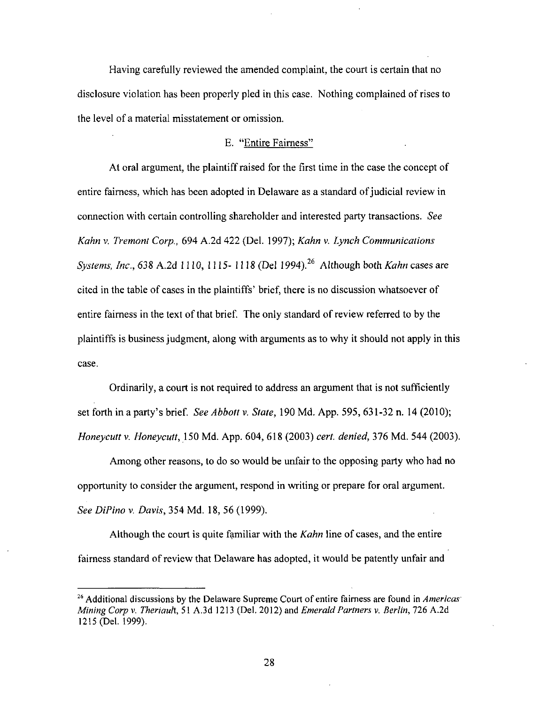Having carefully reviewed the amended complaint, the court is certain that no disclosure violation has been properly pled in this case. Nothing complained of rises to the level of a material misstatement or omission.

# E. "Entire Fairness"

At oral argument, the plaintiff raised for the first time in the case the concept of entire fairness, which has been adopted in Delaware as a standard of judicial review in connection wilh certain controlling shareholder and interested party transactions. See Kahn v. Tremont Corp., 694 A.2d 422 (Del. 1997); Kahn v. Lynch Communications Systems, Inc., 638 A.2d 1110, 1115-1118 (Del 1994).<sup>26</sup> Although both Kahn cases are cited in the table of cases in the plaintiffs' brief, there is no discussion whatsoever of entire fairness in the text of that brief. The only standard of review referred to by the plaintiffs is business judgment, along with arguments as to why it should not apply in this case.

Ordinarily, a court is not required to address an argument that is not sufficiently set forth in a party's brief. See Abbott v. State, 190 Md. App. 595,  $631-32$  n. 14 (2010); Honeycutt v. Honeycutt, 150 Md. App. 604, 618 (2003) cert. denied, 376 Md. 544 (2003).

Among other reasons, to do so would be unfair to the opposing party who had no opportunity to consider the argument, respond in writing or prepare for oral argument. See DiPino v. Davis, 354 Md. 18, 56 (1999).

Although the court is quite familiar with the Kahn line of cases, and the entire fairness standard of review that Delaware has adopted, it would be patently unfair and

 $26$  Additional discussions by the Delaware Supreme Court of entire fairness are found in Americas Mining Corp v. Theriault, 51 A.3d 1213 (Del. 2012) and Emerald Partners v. Berlin, 726 A.2d 1215 (Del. 1999).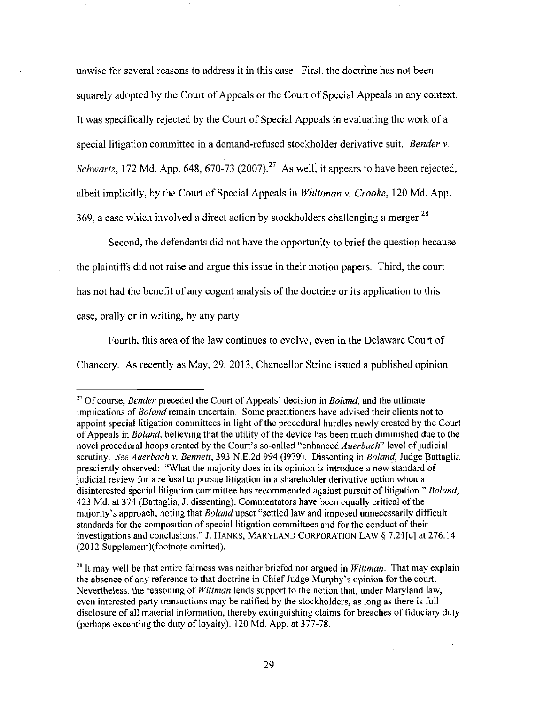unwise for several reasons to address it in this case. First, the doctrine has not been squarely adopted by the Court of Appeals or the Court of Special Appeals in any context. It was specifically rejected by the Court of Special Appeals in evaluating the work of a special litigation committee in a demand-refused stockholder derivative suit. Bender v. Schwartz, 172 Md. App. 648, 670-73 (2007).<sup>27</sup> As well, it appears to have been rejected, albeit implicitly, by the Court of Special Appeals in Whittman v, Crooke, 120 Md. App. 369, a case which involved a direct action by stockholders challenging a merger.<sup>28</sup>

Second, the defendants did not have the opportunity to brief the question because the plaintiffs did not raise and argue this issue in their motion papers. Third, the court has not had the benefit of any cogent analysis of the doctrine or its application to this case, orally or in writing, by any party.

Fourth, this area of the law continues to evolve, even in the Delaware Court of Chancery. As recentiy as May, 29, 2013, Chancellor Strine issued a published opinion

<sup>&</sup>lt;sup>27</sup> Of course, *Bender* preceded the Court of Appeals' decision in *Boland*, and the utlimate implications of *Boland* remain uncertain. Some practitioners have advised their clients not to appoint special litigation committees in light of the procedural hurdles newly created by the Court of Appeals in *Boland*, believing that the utility of the device has been much diminished due to the novel procedural hoops created by the Court's so-called "enhanced Auerbach" level of judicial scrutiny. See Auerbach v. Bennett, 393 N.E.2d 994 (1979). Dissenting in Boland, Judge Battaglia presciently observed; "What the majority does in its opinion is introduce a new standard of judicial review for a refusal to pursue litigation in a shareholder derivative action when a disinterested special litigation committee has recommended against pursuit of litigation." Boland, 423 Md. at 374 (Battaglia, J. dissenting). Commentators have been equally critical ofthe majority's approach, noting that *Boland* upset "settled law and imposed unnecessarily difficult standards for the composition of special litigation committees and for the conduct of their investigations and conclusions." J. HANKS, MARYLAND CORPORATION LAW § 7,21[c] at 276.14 (2012 Supplement)(footnote omitted).

<sup>&</sup>lt;sup>28</sup> It may well be that entire fairness was neither briefed nor argued in Wittman. That may explain the absence of any reference to that doctrine in Chief Judge Murphy's opinion for the court. Nevertheless, the reasoning of *Wittman* lends support to the notion that, under Maryland law, even interested party transactions may be ratified by the stockholders, as long as there is full disclosure of all material information, thereby extinguishing claims for breaches of fiduciary duty (perhaps excepting the duty of loyalty). 120 Md. App. at 377-78.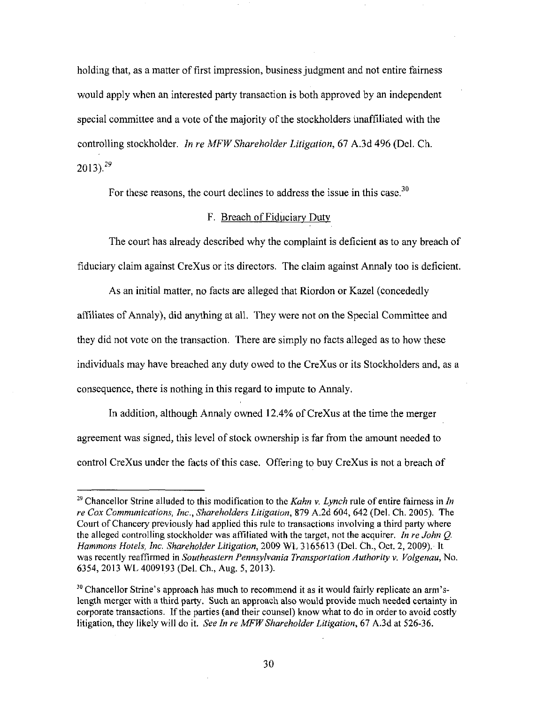holding that, as a matter of first impression, business judgment and not entire fairness would apply when an interested party transaction is both approved by an independent special committee and a vote of the majority of the stockholders unaffiliated with the controlling stockholder. In re MFW Shareholder Litigation, 67 A.3d 496 (Del. Ch.  $2013$ ).<sup>29</sup>

For these reasons, the court declines to address the issue in this case.<sup>30</sup>

#### F. Breach of Fiduciary Dutv

The court has already described why the complaint is deficient as to any breach of fiduciary claim against CreXus or its directors. The claim against Annaly too is deficient.

As an initial matter, no facts are alleged that Riordon or Kazel (concededly affiliates of Annaly), did anything at all. They were not on the Special Committee and they did not vote on the transaction. There are simply no facts alleged as to how these individuals may have breached any duty owed to the CreXus or its Stockholders and, as a consequence, there is nothing in this regard to impute to Armaly.

In addition, although Annaly owned 12.4% of CreXus at the time the merger agreement was signed, this level of stock ownership is far from the amount needed to control CreXus under the facts of this case. Offering to buy CreXus is not a breach of

<sup>&</sup>lt;sup>29</sup> Chancellor Strine alluded to this modification to the Kahn v. Lynch rule of entire fairness in In re Cox Communications, Inc., Shareholders Litigation, 879 A.2d 604, 642 (Del. Ch. 2005). The Court of Chancery previously had applied this rule to transactions involving a third party where the alleged controlling stockholder was affiliated with the target, not the acquirer. In re John  $Q$ . Hammons Hotels, Inc. Shareholder Litigation, 2009 WL 3165613 (Del. Ch., Oct. 2, 2009). It was recently reaffirmed in Southeastern Pennsylvania Transportation Authority v. Volgenau, No. 6354, 2013 WL 4009193 (Del. Ch., Aug. 5, 2013).

 $30$  Chancellor Strine's approach has much to recommend it as it would fairly replicate an arm'slength merger with a third party. Such an approach also would provide much needed certainty in corporate transactions. If the parties (and their counsel) know what to do in order to avoid costly litigation, they likely will do it. See In re MFW Shareholder Litigation, 67 A.3d at 526-36.